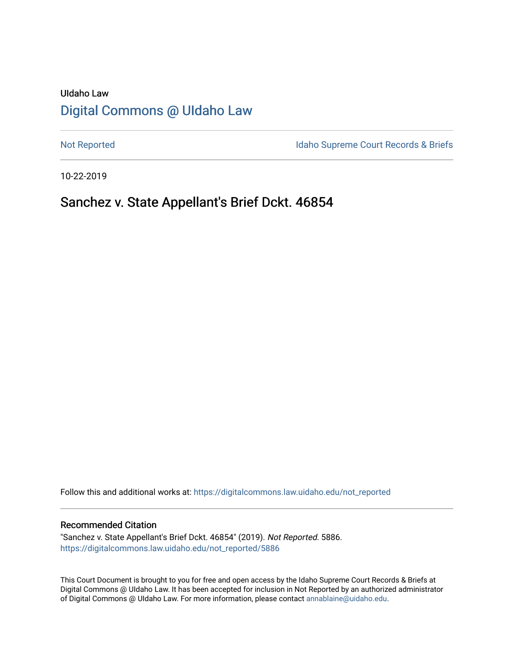# UIdaho Law [Digital Commons @ UIdaho Law](https://digitalcommons.law.uidaho.edu/)

[Not Reported](https://digitalcommons.law.uidaho.edu/not_reported) **Idaho Supreme Court Records & Briefs** 

10-22-2019

# Sanchez v. State Appellant's Brief Dckt. 46854

Follow this and additional works at: [https://digitalcommons.law.uidaho.edu/not\\_reported](https://digitalcommons.law.uidaho.edu/not_reported?utm_source=digitalcommons.law.uidaho.edu%2Fnot_reported%2F5886&utm_medium=PDF&utm_campaign=PDFCoverPages) 

#### Recommended Citation

"Sanchez v. State Appellant's Brief Dckt. 46854" (2019). Not Reported. 5886. [https://digitalcommons.law.uidaho.edu/not\\_reported/5886](https://digitalcommons.law.uidaho.edu/not_reported/5886?utm_source=digitalcommons.law.uidaho.edu%2Fnot_reported%2F5886&utm_medium=PDF&utm_campaign=PDFCoverPages)

This Court Document is brought to you for free and open access by the Idaho Supreme Court Records & Briefs at Digital Commons @ UIdaho Law. It has been accepted for inclusion in Not Reported by an authorized administrator of Digital Commons @ UIdaho Law. For more information, please contact [annablaine@uidaho.edu](mailto:annablaine@uidaho.edu).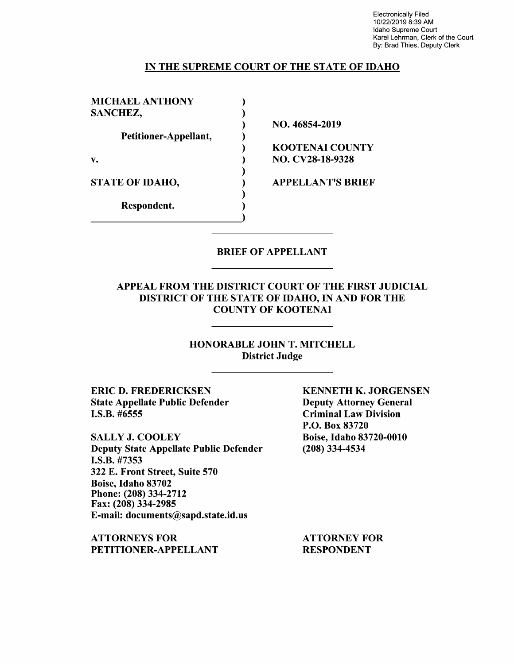Electronically Filed 10/22/2019 8:39 AM Idaho Supreme Court Karel Lehrman, Clerk of the Court By: Brad Thies, Deputy Clerk

### IN THE SUPREME COURT OF THE STATE OF IDAHO

| <b>MICHAEL ANTHONY</b> |                          |
|------------------------|--------------------------|
| SANCHEZ,               |                          |
|                        | NO. 46854-2019           |
| Petitioner-Appellant,  |                          |
|                        | <b>KOOTENAL COUNTY</b>   |
| v.                     | NO. CV28-18-9328         |
|                        |                          |
| <b>STATE OF IDAHO,</b> | <b>APPELLANT'S BRIEF</b> |
|                        |                          |
| Respondent.            |                          |
|                        |                          |
|                        |                          |

### BRIEF OF APPELLANT

## APPEAL FROM THE DISTRICT COURT OF THE FIRST JUDICIAL DISTRICT OF THE STATE OF IDAHO, IN AND FOR THE COUNTY OF KOOTENAI

HONORABLE JOHN T. MITCHELL District Judge

**ERIC D. FREDERICKSEN**  State Appellate Public Defender I.S.B. #6555

**SALLY J. COOLEY**  Deputy State Appellate Public Defender **I.S.B.** #7353 322 E. Front Street, Suite 570 Boise, Idaho 83702 Phone:(208)334-2712 Fax: (208) 334-2985 E-mail: documents@sapd.state.id.us

**ATTORNEYS FOR PETITIONER-APPELLANT**  KENNETH K. JORGENSEN Deputy Attorney General Criminal Law Division P.O. Box 83720 Boise, Idaho 83720-0010 (208) 334-4534

ATTORNEY FOR RESPONDENT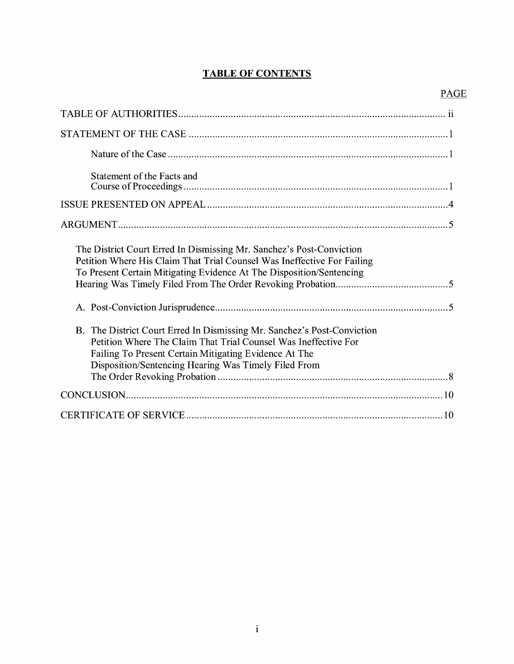# **TABLE OF CONTENTS**

# PAGE

| Statement of the Facts and                                                                                                                                                                                                                                  |
|-------------------------------------------------------------------------------------------------------------------------------------------------------------------------------------------------------------------------------------------------------------|
|                                                                                                                                                                                                                                                             |
|                                                                                                                                                                                                                                                             |
| The District Court Erred In Dismissing Mr. Sanchez's Post-Conviction<br>Petition Where His Claim That Trial Counsel Was Ineffective For Failing<br>To Present Certain Mitigating Evidence At The Disposition/Sentencing                                     |
|                                                                                                                                                                                                                                                             |
| B. The District Court Erred In Dismissing Mr. Sanchez's Post-Conviction<br>Petition Where The Claim That Trial Counsel Was Ineffective For<br>Failing To Present Certain Mitigating Evidence At The<br>Disposition/Sentencing Hearing Was Timely Filed From |
|                                                                                                                                                                                                                                                             |
|                                                                                                                                                                                                                                                             |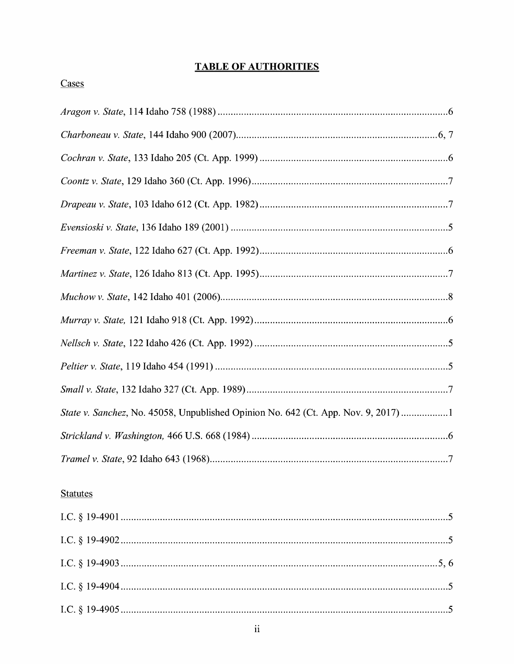# **TABLE OF AUTHORITIES**

## Cases

| State v. Sanchez, No. 45058, Unpublished Opinion No. 642 (Ct. App. Nov. 9, 2017) 1 |
|------------------------------------------------------------------------------------|
|                                                                                    |
|                                                                                    |

## **Statutes**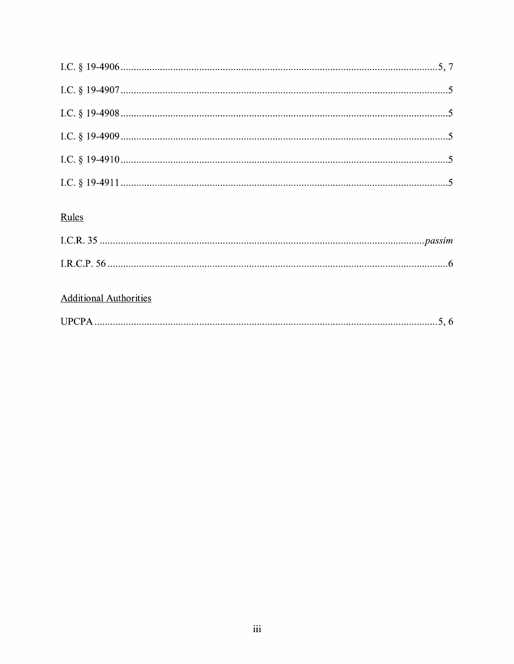# Rules

# **Additional Authorities**

|--|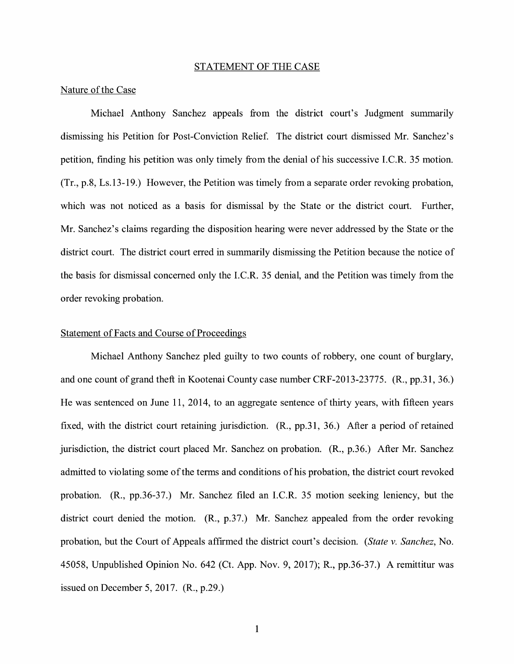#### STATEMENT OF THE CASE

#### Nature of the Case

Michael Anthony Sanchez appeals from the district court's Judgment summarily dismissing his Petition for Post-Conviction Relief. The district court dismissed Mr. Sanchez's petition, finding his petition was only timely from the denial of his successive I.C.R. 35 motion. (Tr., p.8, Ls.13-19.) However, the Petition was timely from a separate order revoking probation, which was not noticed as a basis for dismissal by the State or the district court. Further, Mr. Sanchez's claims regarding the disposition hearing were never addressed by the State or the district court. The district court erred in summarily dismissing the Petition because the notice of the basis for dismissal concerned only the I.C.R. 35 denial, and the Petition was timely from the order revoking probation.

### Statement of Facts and Course of Proceedings

Michael Anthony Sanchez pied guilty to two counts of robbery, one count of burglary, and one count of grand theft in Kootenai County case number CRF-2013-23775. (R., pp.31, 36.) He was sentenced on June 11, 2014, to an aggregate sentence of thirty years, with fifteen years fixed, with the district court retaining jurisdiction. (R., pp.31, 36.) After a period of retained jurisdiction, the district court placed Mr. Sanchez on probation. (R., p.36.) After Mr. Sanchez admitted to violating some of the terms and conditions ofhis probation, the district court revoked probation. (R., pp.36-37.) Mr. Sanchez filed an I.C.R. 35 motion seeking leniency, but the district court denied the motion. (R., p.37.) Mr. Sanchez appealed from the order revoking probation, but the Court of Appeals affirmed the district court's decision. *(State v. Sanchez,* No. 45058, Unpublished Opinion No. 642 (Ct. App. Nov. 9, 2017); R., pp.36-37.) A remittitur was issued on December 5, 2017. (R., p.29.)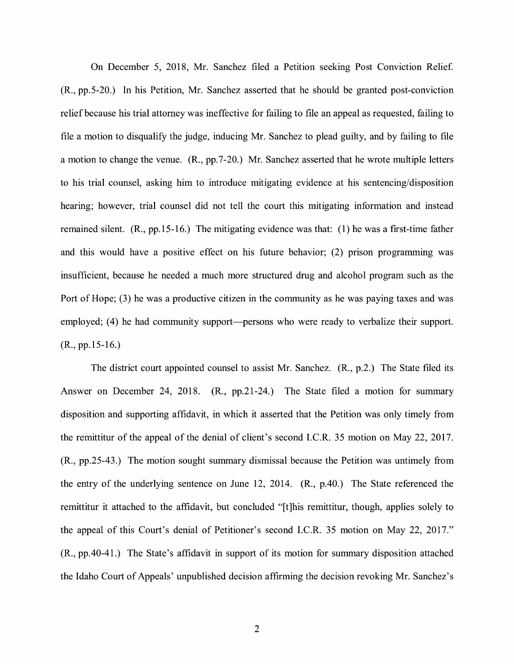On December 5, 2018, Mr. Sanchez filed a Petition seeking Post Conviction Relief (R., pp.5-20.) In his Petition, Mr. Sanchez asserted that he should be granted post-conviction relief because his trial attorney was ineffective for failing to file an appeal as requested, failing to file a motion to disqualify the judge, inducing Mr. Sanchez to plead guilty, and by failing to file a motion to change the venue. **(R.,** pp.7-20.) Mr. Sanchez asserted that he wrote multiple letters to his trial counsel, asking him to introduce mitigating evidence at his sentencing/disposition hearing; however, trial counsel did not tell the court this mitigating information and instead remained silent. **(R.,** pp.15-16.) The mitigating evidence was that: (1) he was a first-time father and this would have a positive effect on his future behavior; (2) prison programming was insufficient, because he needed a much more structured drug and alcohol program such as the Port of Hope; (3) he was a productive citizen in the community as he was paying taxes and was employed; (4) he had community support—persons who were ready to verbalize their support.  $(R., pp.15-16.)$ 

The district court appointed counsel to assist Mr. Sanchez. (R., p.2.) The State filed its Answer on December 24, 2018. (R., pp.21-24.) The State filed a motion for summary disposition and supporting affidavit, in which it asserted that the Petition was only timely from the remittitur of the appeal of the denial of client's second I.C.R. 35 motion on May 22, 2017. (R., pp.25-43.) The motion sought summary dismissal because the Petition was untimely from the entry of the underlying sentence on June 12, 2014. (R., p.40.) The State referenced the remittitur it attached to the affidavit, but concluded "[t]his remittitur, though, applies solely to the appeal of this Court's denial of Petitioner's second I.C.R. 35 motion on May 22, 2017." (R., pp.40-41.) The State's affidavit in support of its motion for summary disposition attached the Idaho Court of Appeals' unpublished decision affirming the decision revoking Mr. Sanchez's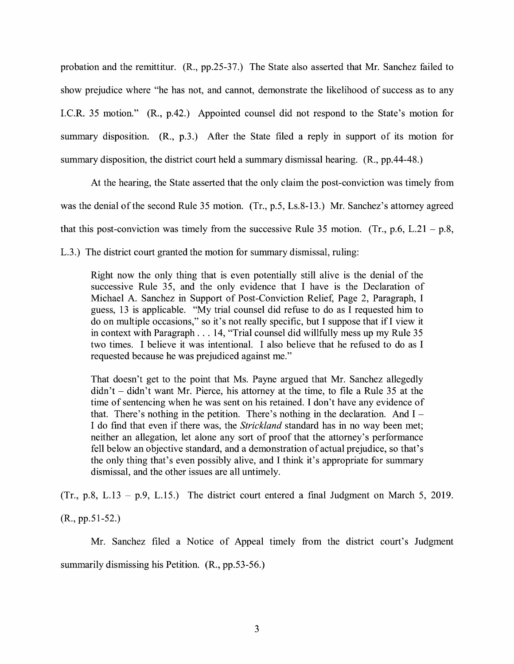probation and the remittitur. (R., pp.25-37.) The State also asserted that Mr. Sanchez failed to show prejudice where "he has not, and cannot, demonstrate the likelihood of success as to any I.C.R. 35 motion." (R., p.42.) Appointed counsel did not respond to the State's motion for summary disposition. (R., p.3.) After the State filed a reply in support of its motion for summary disposition, the district court held a summary dismissal hearing. (R., pp.44-48.)

At the hearing, the State asserted that the only claim the post-conviction was timely from was the denial of the second Rule 35 motion. (Tr., p.5, Ls.8-13.) Mr. Sanchez's attorney agreed that this post-conviction was timely from the successive Rule 35 motion. (Tr., p.6, L.21 – p.8,

L.3.) The district court granted the motion for summary dismissal, ruling:

Right now the only thing that is even potentially still alive is the denial of the successive Rule 35, and the only evidence that I have is the Declaration of Michael A. Sanchez in Support of Post-Conviction Relief, Page 2, Paragraph, I guess, 13 is applicable. "My trial counsel did refuse to do as I requested him to do on multiple occasions," so it's not really specific, but I suppose that ifl view it in context with Paragraph ... 14, "Trial counsel did willfully mess up my Rule 35 two times. I believe it was intentional. I also believe that he refused to do as I requested because he was prejudiced against me."

That doesn't get to the point that Ms. Payne argued that Mr. Sanchez allegedly  $d$ didn't  $-$  didn't want Mr. Pierce, his attorney at the time, to file a Rule 35 at the time of sentencing when he was sent on his retained. I don't have any evidence of that. There's nothing in the petition. There's nothing in the declaration. And  $I -$ I do find that even if there was, the *Strickland* standard has in no way been met; neither an allegation, let alone any sort of proof that the attorney's performance fell below an objective standard, and a demonstration of actual prejudice, so that's the only thing that's even possibly alive, and I think it's appropriate for summary dismissal, and the other issues are all untimely.

(Tr., p.8, L.13 – p.9, L.15.) The district court entered a final Judgment on March 5, 2019.

**(R.,** pp.51-52.)

Mr. Sanchez filed a Notice of Appeal timely from the district court's Judgment summarily dismissing his Petition. **(R.,** pp.53-56.)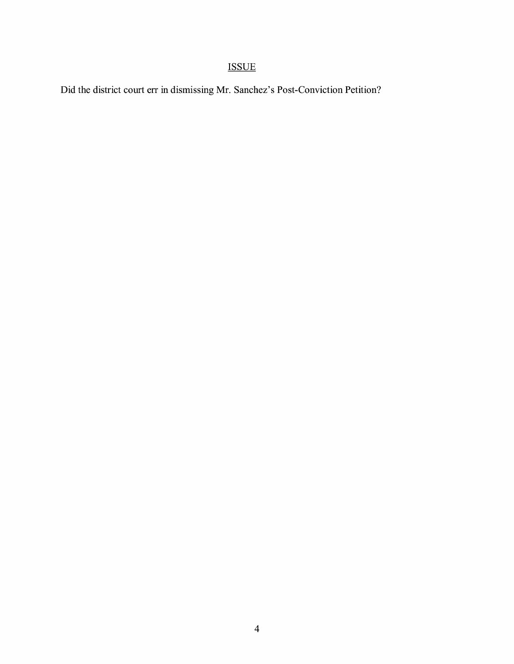# ISSUE

Did the district court err in dismissing Mr. Sanchez's Post-Conviction Petition?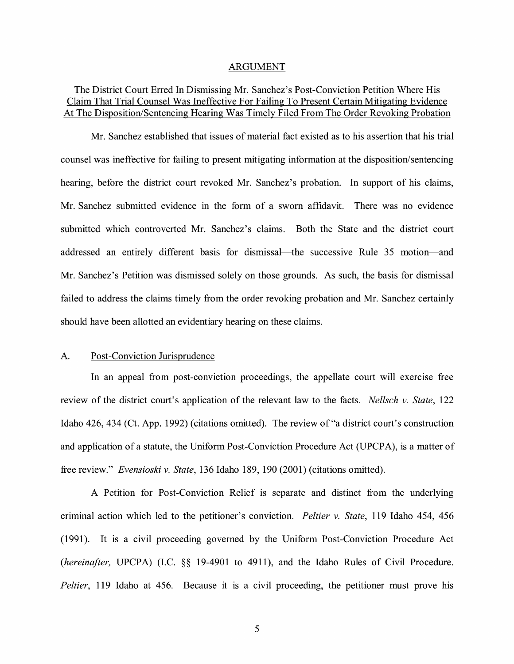#### ARGUMENT

## The District Court Erred In Dismissing Mr. Sanchez's Post-Conviction Petition Where His Claim That Trial Counsel Was Ineffective For Failing To Present Certain Mitigating Evidence At The Disposition/Sentencing Hearing Was Timely Filed From The Order Revoking Probation

Mr. Sanchez established that issues of material fact existed as to his assertion that his trial counsel was ineffective for failing to present mitigating information at the disposition/ sentencing hearing, before the district court revoked Mr. Sanchez's probation. In support of his claims, Mr. Sanchez submitted evidence in the form of a sworn affidavit. There was no evidence submitted which controverted Mr. Sanchez's claims. Both the State and the district court addressed an entirely different basis for dismissal—the successive Rule 35 motion—and Mr. Sanchez's Petition was dismissed solely on those grounds. As such, the basis for dismissal failed to address the claims timely from the order revoking probation and Mr. Sanchez certainly should have been allotted an evidentiary hearing on these claims.

### A. Post-Conviction Jurisprudence

In an appeal from post-conviction proceedings, the appellate court will exercise free review of the district court's application of the relevant law to the facts. *Nellsch v. State,* 122 Idaho 426, 434 (Ct. App. 1992) (citations omitted). The review of "a district court's construction and application of a statute, the Uniform Post-Conviction Procedure Act (UPCPA), is a matter of free review." *Evensioski v. State,* 136 Idaho 189, 190 (2001) (citations omitted).

A Petition for Post-Conviction Relief is separate and distinct from the underlying criminal action which led to the petitioner's conviction. *Peltier v. State,* 119 Idaho 454, 456 (1991). It is a civil proceeding governed by the Uniform Post-Conviction Procedure Act *(hereinafter,* UPCPA) (LC. §§ 19-4901 to 4911), and the Idaho Rules of Civil Procedure. *Peltier*, 119 Idaho at 456. Because it is a civil proceeding, the petitioner must prove his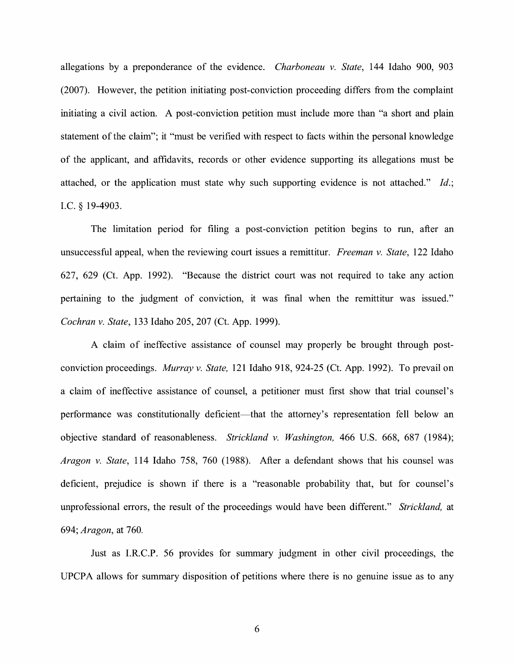allegations by a preponderance of the evidence. *Charboneau v. State,* 144 Idaho 900, 903 (2007). However, the petition initiating post-conviction proceeding differs from the complaint initiating a civil action. A post-conviction petition must include more than "a short and plain statement of the claim"; it "must be verified with respect to facts within the personal knowledge of the applicant, and affidavits, records or other evidence supporting its allegations must be attached, or the application must state why such supporting evidence is not attached." *Id.;*  I.C. § 19-4903.

The limitation period for filing a post-conviction petition begins to run, after an unsuccessful appeal, when the reviewing court issues a remittitur. *Freeman v. State,* 122 Idaho 627, 629 (Ct. App. 1992). "Because the district court was not required to take any action pertaining to the judgment of conviction, it was final when the remittitur was issued." *Cochran v. State,* 133 Idaho 205, 207 (Ct. App. 1999).

A claim of ineffective assistance of counsel may properly be brought through postconviction proceedings. *Murray v. State,* 121 Idaho 918, 924-25 (Ct. App. 1992). To prevail on a claim of ineffective assistance of counsel, a petitioner must first show that trial counsel's performance was constitutionally deficient—that the attorney's representation fell below an objective standard of reasonableness. *Strickland v. Washington,* 466 U.S. 668, 687 (1984); *Aragon v. State,* 114 Idaho 758, 760 (1988). After a defendant shows that his counsel was deficient, prejudice is shown if there is a "reasonable probability that, but for counsel's unprofessional errors, the result of the proceedings would have been different." *Strickland,* at 694; *Aragon,* at 760.

Just as I.R.C.P. 56 provides for summary judgment in other civil proceedings, the UPCPA allows for summary disposition of petitions where there is no genuine issue as to any

6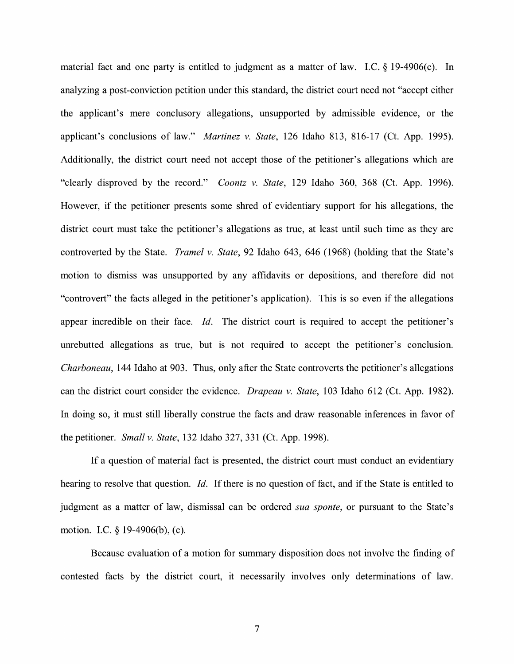material fact and one party is entitled to judgment as a matter of law. LC. § 19-4906(c). In analyzing a post-conviction petition under this standard, the district court need not "accept either the applicant's mere conclusory allegations, unsupported by admissible evidence, or the applicant's conclusions of law." *Martinez v. State,* 126 Idaho 813, 816-17 (Ct. App. 1995). Additionally, the district court need not accept those of the petitioner's allegations which are "clearly disproved by the record." *Coontz v. State,* 129 Idaho 360, 368 (Ct. App. 1996). However, if the petitioner presents some shred of evidentiary support for his allegations, the district court must take the petitioner's allegations as true, at least until such time as they are controverted by the State. *Tramel v. State,* 92 Idaho 643, 646 (1968) (holding that the State's motion to dismiss was unsupported by any affidavits or depositions, and therefore did not "controvert" the facts alleged in the petitioner's application). This is so even if the allegations appear incredible on their face. *Id.* The district court is required to accept the petitioner's unrebutted allegations as true, but is not required to accept the petitioner's conclusion. *Charboneau,* 144 Idaho at 903. Thus, only after the State controverts the petitioner's allegations can the district court consider the evidence. *Drapeau v. State,* 103 Idaho 612 (Ct. App. 1982). In doing so, it must still liberally construe the facts and draw reasonable inferences in favor of the petitioner. *Small v. State,* 132 Idaho 327,331 (Ct. App. 1998).

If a question of material fact is presented, the district court must conduct an evidentiary hearing to resolve that question. *Id.* If there is no question of fact, and if the State is entitled to judgment as a matter of law, dismissal can be ordered *sua sponte,* or pursuant to the State's motion. I.C.  $\S$  19-4906(b), (c).

Because evaluation of a motion for summary disposition does not involve the finding of contested facts by the district court, it necessarily involves only determinations of law.

7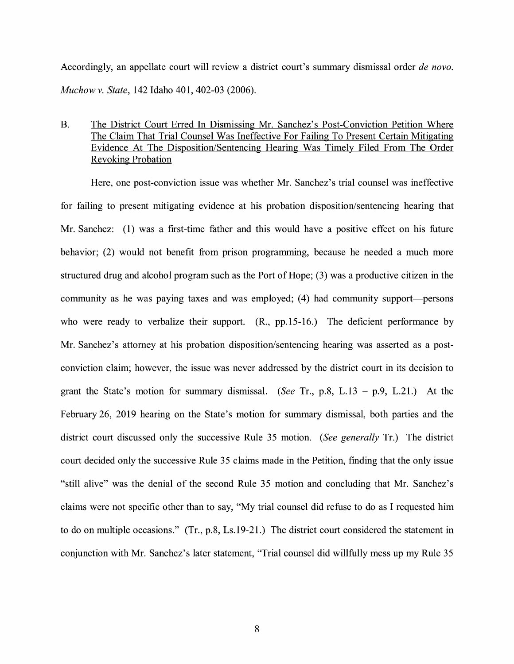Accordingly, an appellate court will review a district court's summary dismissal order *de novo. Muchow v. State,* 142 Idaho 401, 402-03 (2006).

## B. The District Court Erred In Dismissing Mr. Sanchez's Post-Conviction Petition Where The Claim That Trial Counsel Was Ineffective For Failing To Present Certain Mitigating Evidence At The Disposition/Sentencing Hearing Was Timely Filed From The Order Revoking Probation

Here, one post-conviction issue was whether Mr. Sanchez's trial counsel was ineffective for failing to present mitigating evidence at his probation disposition/sentencing hearing that Mr. Sanchez: (1) was a first-time father and this would have a positive effect on his future behavior; (2) would not benefit from prison programming, because he needed a much more structured drug and alcohol program such as the Port of Hope; (3) was a productive citizen in the community as he was paying taxes and was employed; (4) had community support—persons who were ready to verbalize their support. (R., pp.15-16.) The deficient performance by Mr. Sanchez's attorney at his probation disposition/sentencing hearing was asserted as a postconviction claim; however, the issue was never addressed by the district court in its decision to grant the State's motion for summary dismissal. *(See* Tr., p.8, L.13 - p.9, L.21.) At the February 26, 2019 hearing on the State's motion for summary dismissal, both parties and the district court discussed only the successive Rule 35 motion. *(See generally* Tr.) The district court decided only the successive Rule 35 claims made in the Petition, finding that the only issue "still alive" was the denial of the second Rule 35 motion and concluding that Mr. Sanchez's claims were not specific other than to say, "My trial counsel did refuse to do as I requested him to do on multiple occasions." (Tr., p.8, Ls.19-21.) The district court considered the statement in conjunction with Mr. Sanchez's later statement, "Trial counsel did willfully mess up my Rule 35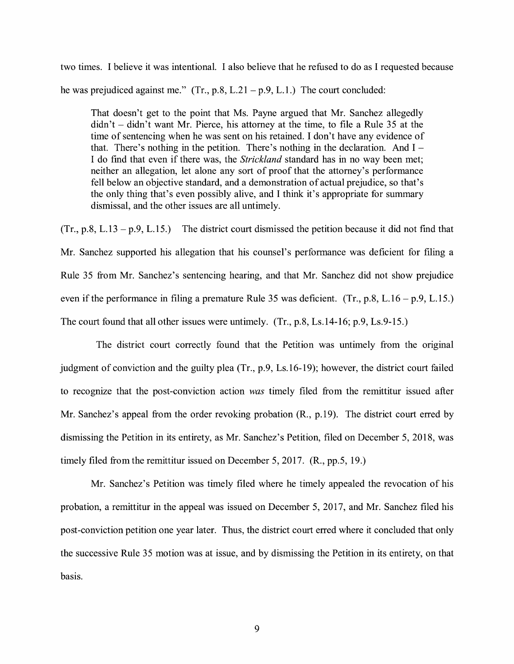two times. I believe it was intentional. I also believe that he refused to do as I requested because he was prejudiced against me." (Tr., p.8, L.21 - p.9, L.1.) The court concluded:

That doesn't get to the point that Ms. Payne argued that Mr. Sanchez allegedly  $\text{d}$ idn't -  $\text{d}$ idn't want Mr. Pierce, his attorney at the time, to file a Rule 35 at the time of sentencing when he was sent on his retained. I don't have any evidence of that. There's nothing in the petition. There's nothing in the declaration. And  $I -$ I do find that even if there was, the *Strickland* standard has in no way been met; neither an allegation, let alone any sort of proof that the attorney's performance fell below an objective standard, and a demonstration of actual prejudice, so that's the only thing that's even possibly alive, and I think it's appropriate for summary dismissal, and the other issues are all untimely.

 $(Tr, p.8, L.13 - p.9, L.15)$  The district court dismissed the petition because it did not find that Mr. Sanchez supported his allegation that his counsel's performance was deficient for filing a Rule 35 from Mr. Sanchez's sentencing hearing, and that Mr. Sanchez did not show prejudice even if the performance in filing a premature Rule 35 was deficient.  $(Tr, p.8, L.16 - p.9, L.15)$ The court found that all other issues were untimely. (Tr., p.8, Ls.14-16; p.9, Ls.9-15.)

The district court correctly found that the Petition was untimely from the original judgment of conviction and the guilty plea (Tr., p.9, Ls.16-19); however, the district court failed to recognize that the post-conviction action *was* timely filed from the remittitur issued after Mr. Sanchez's appeal from the order revoking probation (R., p.19). The district court erred by dismissing the Petition in its entirety, as Mr. Sanchez's Petition, filed on December 5, 2018, was timely filed from the remittitur issued on December 5, 2017. (R., pp.5, 19.)

Mr. Sanchez's Petition was timely filed where he timely appealed the revocation of his probation, a remittitur in the appeal was issued on December 5, 2017, and Mr. Sanchez filed his post-conviction petition one year later. Thus, the district court erred where it concluded that only the successive Rule 35 motion was at issue, and by dismissing the Petition in its entirety, on that basis.